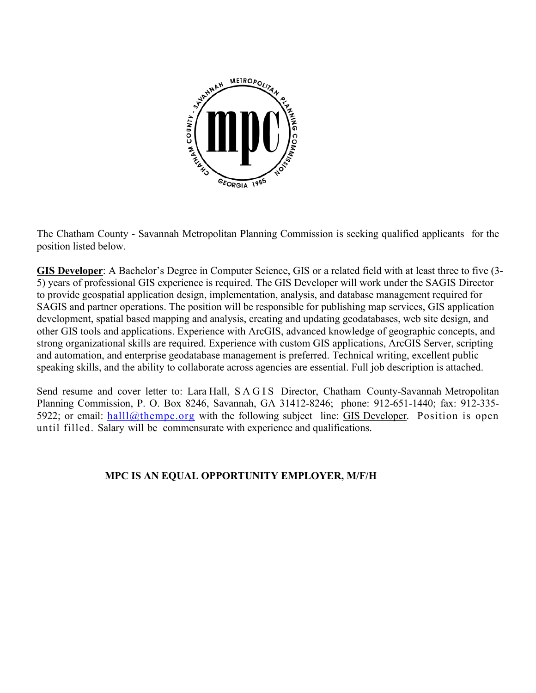

The Chatham County - Savannah Metropolitan Planning Commission is seeking qualified applicants for the position listed below.

**GIS Developer**: A Bachelor's Degree in Computer Science, GIS or a related field with at least three to five (3- 5) years of professional GIS experience is required. The GIS Developer will work under the SAGIS Director to provide geospatial application design, implementation, analysis, and database management required for SAGIS and partner operations. The position will be responsible for publishing map services, GIS application development, spatial based mapping and analysis, creating and updating geodatabases, web site design, and other GIS tools and applications. Experience with ArcGIS, advanced knowledge of geographic concepts, and strong organizational skills are required. Experience with custom GIS applications, ArcGIS Server, scripting and automation, and enterprise geodatabase management is preferred. Technical writing, excellent public speaking skills, and the ability to collaborate across agencies are essential. Full job description is attached.

Send resume and cover letter to: Lara Hall, SAGIS Director, Chatham County-Savannah Metropolitan Planning Commission, P. O. Box 8246, Savannah, GA 31412-8246; phone: 912-651-1440; fax: 912-335- 5922; or email:  $\text{hall}(\mathcal{Q}_t)$  thempc.org with the following subject line: GIS Developer. Position is open until filled. Salary will be commensurate with experience and qualifications.

# **MPC IS AN EQUAL OPPORTUNITY EMPLOYER, M/F/H**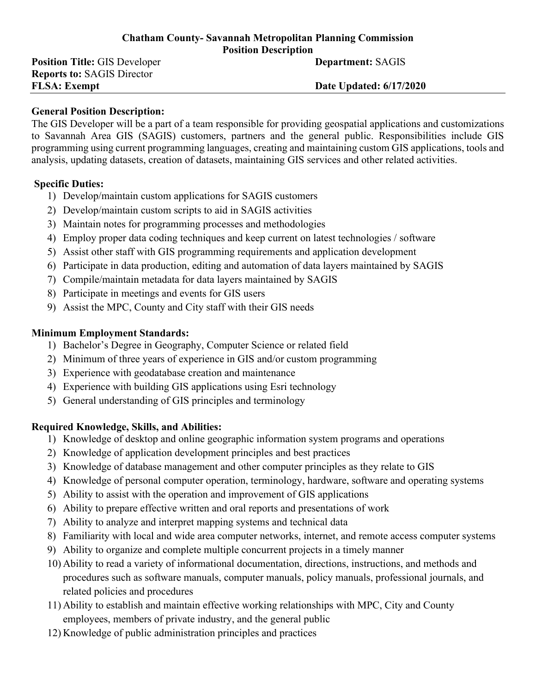#### **Chatham County- Savannah Metropolitan Planning Commission Position Description**

**Position Title:** GIS Developer **Department: SAGIS Reports to:** SAGIS Director **FLSA: Exempt Date Updated: 6/17/2020** 

### **General Position Description:**

The GIS Developer will be a part of a team responsible for providing geospatial applications and customizations to Savannah Area GIS (SAGIS) customers, partners and the general public. Responsibilities include GIS programming using current programming languages, creating and maintaining custom GIS applications, tools and analysis, updating datasets, creation of datasets, maintaining GIS services and other related activities.

## **Specific Duties:**

- 1) Develop/maintain custom applications for SAGIS customers
- 2) Develop/maintain custom scripts to aid in SAGIS activities
- 3) Maintain notes for programming processes and methodologies
- 4) Employ proper data coding techniques and keep current on latest technologies / software
- 5) Assist other staff with GIS programming requirements and application development
- 6) Participate in data production, editing and automation of data layers maintained by SAGIS
- 7) Compile/maintain metadata for data layers maintained by SAGIS
- 8) Participate in meetings and events for GIS users
- 9) Assist the MPC, County and City staff with their GIS needs

### **Minimum Employment Standards:**

- 1) Bachelor's Degree in Geography, Computer Science or related field
- 2) Minimum of three years of experience in GIS and/or custom programming
- 3) Experience with geodatabase creation and maintenance
- 4) Experience with building GIS applications using Esri technology
- 5) General understanding of GIS principles and terminology

# **Required Knowledge, Skills, and Abilities:**

- 1) Knowledge of desktop and online geographic information system programs and operations
- 2) Knowledge of application development principles and best practices
- 3) Knowledge of database management and other computer principles as they relate to GIS
- 4) Knowledge of personal computer operation, terminology, hardware, software and operating systems
- 5) Ability to assist with the operation and improvement of GIS applications
- 6) Ability to prepare effective written and oral reports and presentations of work
- 7) Ability to analyze and interpret mapping systems and technical data
- 8) Familiarity with local and wide area computer networks, internet, and remote access computer systems
- 9) Ability to organize and complete multiple concurrent projects in a timely manner
- 10) Ability to read a variety of informational documentation, directions, instructions, and methods and procedures such as software manuals, computer manuals, policy manuals, professional journals, and related policies and procedures
- 11) Ability to establish and maintain effective working relationships with MPC, City and County employees, members of private industry, and the general public
- 12) Knowledge of public administration principles and practices